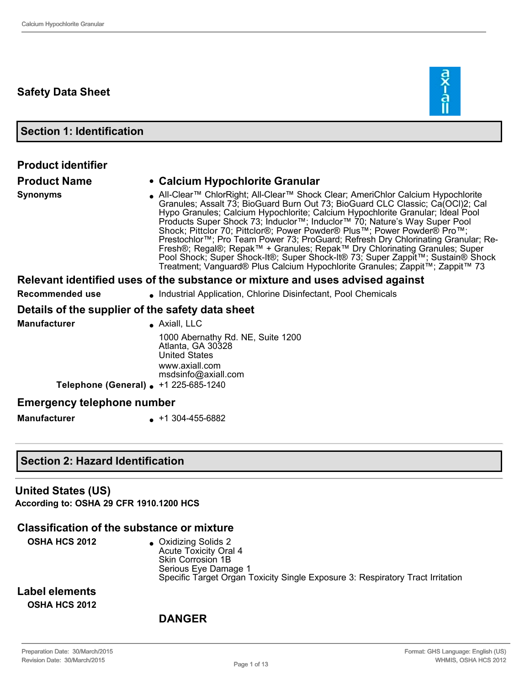## **Safety Data Sheet**

**Section 1: Identification**

| <b>Product identifier</b>                        |                                                                                                                                                                                                                                                                                                                                                                                                                                                                                                                                                                                                                                                                                                                                                   |  |  |
|--------------------------------------------------|---------------------------------------------------------------------------------------------------------------------------------------------------------------------------------------------------------------------------------------------------------------------------------------------------------------------------------------------------------------------------------------------------------------------------------------------------------------------------------------------------------------------------------------------------------------------------------------------------------------------------------------------------------------------------------------------------------------------------------------------------|--|--|
| <b>Product Name</b>                              | • Calcium Hypochlorite Granular                                                                                                                                                                                                                                                                                                                                                                                                                                                                                                                                                                                                                                                                                                                   |  |  |
| <b>Synonyms</b>                                  | • All-Clear™ ChlorRight; All-Clear™ Shock Clear; AmeriChlor Calcium Hypochlorite<br>Granules; Assalt 73; BioGuard Burn Out 73; BioGuard CLC Classic; Ca(OCI)2; Cal<br>Hypo Granules; Calcium Hypochlorite; Calcium Hypochlorite Granular; Ideal Pool<br>Products Super Shock 73; Induclor™; Induclor™ 70; Nature's Way Super Pool<br>Shock; Pittclor 70; Pittclor®; Power Powder® Plus™; Power Powder® Pro™;<br>Prestochlor™; Pro Team Power 73; ProGuard; Refresh Dry Chlorinating Granular; Re-<br>Fresh®; Regal®; Repak™ + Granules; Repak™ Dry Chlorinating Granules; Super<br>Pool Shock; Super Shock-It®; Super Shock-It® 73; Super Zappit™; Sustain® Shock<br>Treatment; Vanguard® Plus Calcium Hypochlorite Granules; Zappit™; Zappit™ 73 |  |  |
|                                                  | Relevant identified uses of the substance or mixture and uses advised against                                                                                                                                                                                                                                                                                                                                                                                                                                                                                                                                                                                                                                                                     |  |  |
| Recommended use                                  | • Industrial Application, Chlorine Disinfectant, Pool Chemicals                                                                                                                                                                                                                                                                                                                                                                                                                                                                                                                                                                                                                                                                                   |  |  |
| Details of the supplier of the safety data sheet |                                                                                                                                                                                                                                                                                                                                                                                                                                                                                                                                                                                                                                                                                                                                                   |  |  |
| <b>Manufacturer</b>                              | $\bullet$ Axiall, LLC                                                                                                                                                                                                                                                                                                                                                                                                                                                                                                                                                                                                                                                                                                                             |  |  |
|                                                  | 1000 Abernathy Rd. NE, Suite 1200<br>Atlanta, GA 30328<br><b>United States</b><br>www.axiall.com<br>msdsinfo@axiall.com                                                                                                                                                                                                                                                                                                                                                                                                                                                                                                                                                                                                                           |  |  |
| Telephone (General) +1 225-685-1240              |                                                                                                                                                                                                                                                                                                                                                                                                                                                                                                                                                                                                                                                                                                                                                   |  |  |
| <b>Emergency telephone number</b>                |                                                                                                                                                                                                                                                                                                                                                                                                                                                                                                                                                                                                                                                                                                                                                   |  |  |
| <b>Manufacturer</b>                              | $\bullet$ +1 304-455-6882                                                                                                                                                                                                                                                                                                                                                                                                                                                                                                                                                                                                                                                                                                                         |  |  |

## **Section 2: Hazard Identification**

#### **United States (US)**

**According to: OSHA 29 CFR 1910.1200 HCS**

## **Classification of the substance or mixture**

**OSHA HCS 2012** <br> **•** Oxidizing Solids 2 Acute Toxicity Oral 4 Skin Corrosion 1B Serious Eye Damage 1 Specific Target Organ Toxicity Single Exposure 3: Respiratory Tract Irritation

**Label elements OSHA HCS 2012**

## **DANGER**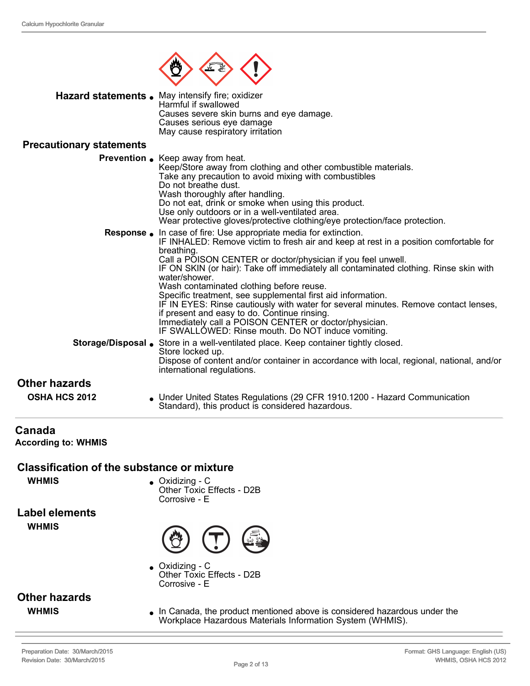

| <b>Hazard statements.</b> May intensify fire; oxidizer |
|--------------------------------------------------------|
| Harmful if swallowed                                   |
| Causes severe skin burns and eye damage.               |
| Causes serious eye damage                              |
| May cause respiratory irritation                       |

#### **Precautionary statements**

|                                       | <b>Prevention .</b> Keep away from heat.<br>Keep/Store away from clothing and other combustible materials.<br>Take any precaution to avoid mixing with combustibles<br>Do not breathe dust.<br>Wash thoroughly after handling.<br>Do not eat, drink or smoke when using this product.<br>Use only outdoors or in a well-ventilated area.<br>Wear protective gloves/protective clothing/eye protection/face protection.                                                                                                                                                                                                                                                                                              |
|---------------------------------------|---------------------------------------------------------------------------------------------------------------------------------------------------------------------------------------------------------------------------------------------------------------------------------------------------------------------------------------------------------------------------------------------------------------------------------------------------------------------------------------------------------------------------------------------------------------------------------------------------------------------------------------------------------------------------------------------------------------------|
|                                       | Response . In case of fire: Use appropriate media for extinction.<br>IF INHALED: Remove victim to fresh air and keep at rest in a position comfortable for<br>breathing.<br>Call a POISON CENTER or doctor/physician if you feel unwell.<br>IF ON SKIN (or hair): Take off immediately all contaminated clothing. Rinse skin with<br>water/shower.<br>Wash contaminated clothing before reuse.<br>Specific treatment, see supplemental first aid information.<br>IF IN EYES: Rinse cautiously with water for several minutes. Remove contact lenses,<br>if present and easy to do. Continue rinsing.<br>Immediately call a POISON CENTER or doctor/physician.<br>IF SWALLOWED: Rinse mouth. Do NOT induce vomiting. |
|                                       | <b>Storage/Disposal .</b> Store in a well-ventilated place. Keep container tightly closed.<br>Store locked up.<br>Dispose of content and/or container in accordance with local, regional, national, and/or<br>international regulations.                                                                                                                                                                                                                                                                                                                                                                                                                                                                            |
| Other hazards<br><b>OSHA HCS 2012</b> | • Under United States Regulations (29 CFR 1910.1200 - Hazard Communication<br>Standard), this product is considered hazardous.                                                                                                                                                                                                                                                                                                                                                                                                                                                                                                                                                                                      |

## **Canada**

**According to: WHMIS** 

#### **Classification of the substance or mixture**

**WHMIS** • Oxidizing - C Other Toxic Effects - D2B Corrosive - E

**Label elements WHMIS**



 $\bullet$  Oxidizing - C Other Toxic Effects - D2B Corrosive - E

# **Other hazards**

**WHMIS In Canada, the product mentioned above is considered hazardous under the** Workplace Hazardous Materials Information System (WHMIS).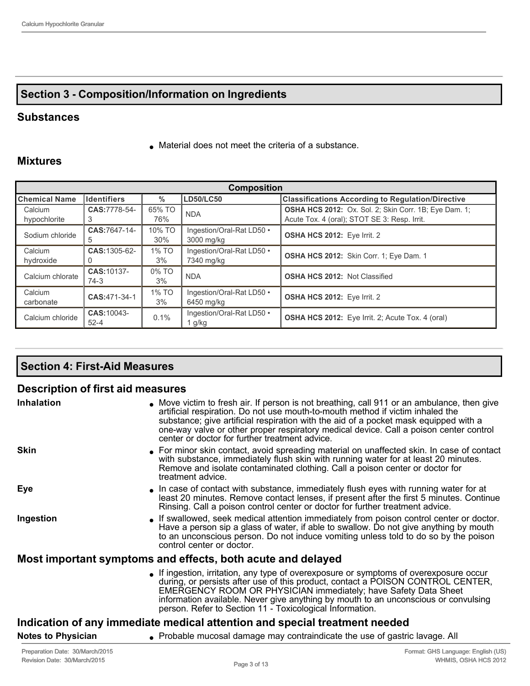## **Section 3 Composition/Information on Ingredients**

#### **Substances**

 $\bullet$  Material does not meet the criteria of a substance.

### **Mixtures**

| <b>Composition</b>   |                         |               |                                         |                                                              |
|----------------------|-------------------------|---------------|-----------------------------------------|--------------------------------------------------------------|
| ∥Chemical Name       | <b>Identifiers</b>      | $\frac{0}{0}$ | <b>LD50/LC50</b>                        | <b>Classifications According to Regulation/Directive</b>     |
| Calcium              | CAS: 7778-54-           | 65% TO        | <b>NDA</b>                              | <b>OSHA HCS 2012:</b> Ox. Sol. 2; Skin Corr. 1B; Eye Dam. 1; |
| hypochlorite         |                         | 76%           |                                         | Acute Tox. 4 (oral); STOT SE 3: Resp. Irrit.                 |
| Sodium chloride      | CAS: 7647-14-           | 10% TO<br>30% | Ingestion/Oral-Rat LD50 .<br>3000 mg/kg | <b>OSHA HCS 2012:</b> Eye Irrit. 2                           |
|                      | .5                      |               |                                         |                                                              |
| Calcium              | CAS: 1305-62-           | 1% TO         | Ingestion/Oral-Rat LD50 •               | <b>OSHA HCS 2012:</b> Skin Corr. 1; Eye Dam. 1               |
| hydroxide            |                         | 3%            | 7340 mg/kg                              |                                                              |
| Calcium chlorate     | CAS: 10137-<br>74-3     | 0% TO<br>3%   | <b>NDA</b>                              | <b>OSHA HCS 2012: Not Classified</b>                         |
| Calcium<br>carbonate | CAS: 471-34-1           | 1% TO<br>3%   | Ingestion/Oral-Rat LD50 •<br>6450 mg/kg | <b>OSHA HCS 2012:</b> Eye Irrit. 2                           |
|                      |                         |               |                                         |                                                              |
| Calcium chloride     | CAS: 10043-<br>$52 - 4$ | 0.1%          | Ingestion/Oral-Rat LD50 •<br>l g/kg     | <b>OSHA HCS 2012:</b> Eye Irrit. 2; Acute Tox. 4 (oral)      |

## **Section 4: First-Aid Measures**

## **Description of first aid measures**

| Inhalation                | • Move victim to fresh air. If person is not breathing, call 911 or an ambulance, then give<br>artificial respiration. Do not use mouth-to-mouth method if victim inhaled the<br>substance; give artificial respiration with the aid of a pocket mask equipped with a<br>one-way valve or other proper respiratory medical device. Call a poison center control<br>center or doctor for further treatment advice. |
|---------------------------|-------------------------------------------------------------------------------------------------------------------------------------------------------------------------------------------------------------------------------------------------------------------------------------------------------------------------------------------------------------------------------------------------------------------|
| <b>Skin</b>               | • For minor skin contact, avoid spreading material on unaffected skin. In case of contact<br>with substance, immediately flush skin with running water for at least 20 minutes.<br>Remove and isolate contaminated clothing. Call a poison center or doctor for<br>treatment advice.                                                                                                                              |
| Eye                       | In case of contact with substance, immediately flush eyes with running water for at<br>least 20 minutes. Remove contact lenses, if present after the first 5 minutes. Continue<br>Rinsing. Call a poison control center or doctor for further treatment advice.                                                                                                                                                   |
| Ingestion                 | . If swallowed, seek medical attention immediately from poison control center or doctor.<br>Have a person sip a glass of water, if able to swallow. Do not give anything by mouth<br>to an unconscious person. Do not induce vomiting unless told to do so by the poison<br>control center or doctor.                                                                                                             |
|                           | Most important symptoms and effects, both acute and delayed                                                                                                                                                                                                                                                                                                                                                       |
|                           | • If ingestion, irritation, any type of overexposure or symptoms of overexposure occur<br>during, or persists after use of this product, contact a POISON CONTROL CENTER,<br>EMERGENCY ROOM OR PHYSICIAN immediately; have Safety Data Sheet<br>information available. Never give anything by mouth to an unconscious or convulsing<br>person. Refer to Section 11 - Toxicological Information.                   |
|                           | Indication of any immediate medical attention and special treatment needed                                                                                                                                                                                                                                                                                                                                        |
| <b>Notes to Physician</b> | • Probable mucosal damage may contraindicate the use of gastric lavage. All                                                                                                                                                                                                                                                                                                                                       |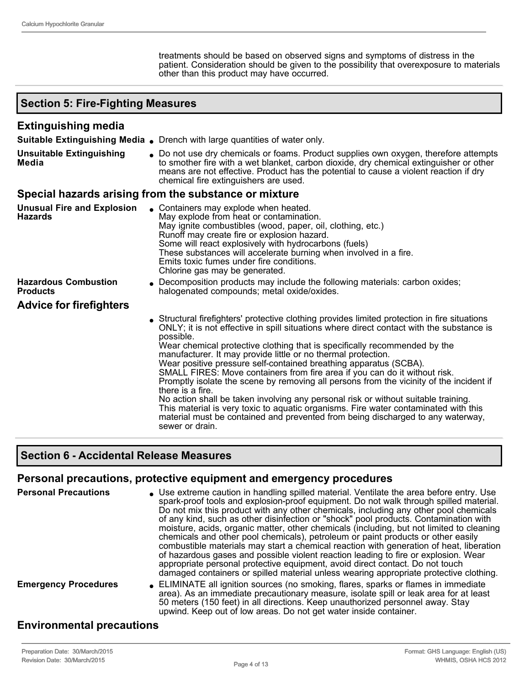treatments should be based on observed signs and symptoms of distress in the patient. Consideration should be given to the possibility that overexposure to materials other than this product may have occurred.

#### **Section 5: Fire-Fighting Measures Extinguishing media Suitable Extinguishing Media .** Drench with large quantities of water only. **Unsuitable Extinguishing Media** • Do not use dry chemicals or foams. Product supplies own oxygen, therefore attempts to smother fire with a wet blanket, carbon dioxide, dry chemical extinguisher or other means are not effective. Product has the potential to cause a violent reaction if dry chemical fire extinguishers are used. **Special hazards arising from the substance or mixture Unusual Fire and Explosion Hazards** Containers may explode when heated. May explode from heat or contamination. May ignite combustibles (wood, paper, oil, clothing, etc.) Runoff may create fire or explosion hazard. Some will react explosively with hydrocarbons (fuels) These substances will accelerate burning when involved in a fire. Emits toxic fumes under fire conditions. Chlorine gas may be generated. **Hazardous Combustion Products Decomposition products may include the following materials: carbon oxides;** halogenated compounds; metal oxide/oxides. **Advice for firefighters** <sup>l</sup> Structural firefighters' protective clothing provides limited protection in fire situations ONLY; it is not effective in spill situations where direct contact with the substance is possible. Wear chemical protective clothing that is specifically recommended by the manufacturer. It may provide little or no thermal protection. Wear positive pressure self-contained breathing apparatus (SCBA). SMALL FIRES: Move containers from fire area if you can do it without risk. Promptly isolate the scene by removing all persons from the vicinity of the incident if there is a fire. No action shall be taken involving any personal risk or without suitable training. This material is very toxic to aquatic organisms. Fire water contaminated with this material must be contained and prevented from being discharged to any waterway, sewer or drain.

#### **Section 6 Accidental Release Measures**

#### **Personal precautions, protective equipment and emergency procedures**

| <b>Personal Precautions</b> | • Use extreme caution in handling spilled material. Ventilate the area before entry. Use<br>spark-proof tools and explosion-proof equipment. Do not walk through spilled material.<br>Do not mix this product with any other chemicals, including any other pool chemicals<br>of any kind, such as other disinfection or "shock" pool products. Contamination with<br>moisture, acids, organic matter, other chemicals (including, but not limited to cleaning<br>chemicals and other pool chemicals), petroleum or paint products or other easily<br>combustible materials may start a chemical reaction with generation of heat, liberation<br>of hazardous gases and possible violent reaction leading to fire or explosion. Wear<br>appropriate personal protective equipment, avoid direct contact. Do not touch<br>damaged containers or spilled material unless wearing appropriate protective clothing. |
|-----------------------------|-----------------------------------------------------------------------------------------------------------------------------------------------------------------------------------------------------------------------------------------------------------------------------------------------------------------------------------------------------------------------------------------------------------------------------------------------------------------------------------------------------------------------------------------------------------------------------------------------------------------------------------------------------------------------------------------------------------------------------------------------------------------------------------------------------------------------------------------------------------------------------------------------------------------|
| <b>Emergency Procedures</b> | • ELIMINATE all ignition sources (no smoking, flares, sparks or flames in immediate<br>area). As an immediate precautionary measure, isolate spill or leak area for at least<br>50 meters (150 feet) in all directions. Keep unauthorized personnel away. Stay<br>upwind. Keep out of low areas. Do not get water inside container.                                                                                                                                                                                                                                                                                                                                                                                                                                                                                                                                                                             |

#### **Environmental precautions**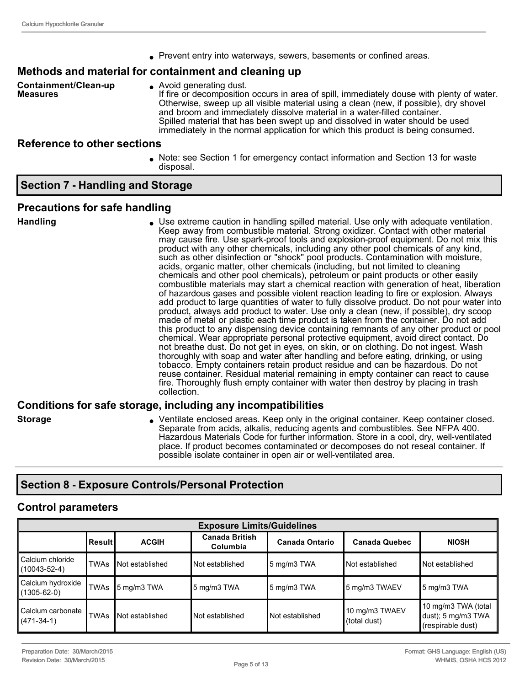• Prevent entry into waterways, sewers, basements or confined areas.

#### **Methods and material for containment and cleaning up**

**Containment/Clean-up Measures**

• Avoid generating dust. If fire or decomposition occurs in area of spill, immediately douse with plenty of water. Otherwise, sweep up all visible material using a clean (new, if possible), dry shovel and broom and immediately dissolve material in a water-filled container. Spilled material that has been swept up and dissolved in water should be used immediately in the normal application for which this product is being consumed.

#### **Reference to other sections**

<sup>l</sup> Note: see Section 1 for emergency contact information and Section 13 for waste disposal.

#### **Section 7 Handling and Storage**

#### **Precautions for safe handling**

**Handling luse extreme caution in handling spilled material. Use only with adequate ventilation.** Keep away from combustible material. Strong oxidizer. Contact with other material may cause fire. Use spark-proof tools and explosion-proof equipment. Do not mix this product with any other chemicals, including any other pool chemicals of any kind, such as other disinfection or "shock" pool products. Contamination with moisture, acids, organic matter, other chemicals (including, but not limited to cleaning chemicals and other pool chemicals), petroleum or paint products or other easily combustible materials may start a chemical reaction with generation of heat, liberation of hazardous gases and possible violent reaction leading to fire or explosion. Always add product to large quantities of water to fully dissolve product. Do not pour water into product, always add product to water. Use only a clean (new, if possible), dry scoop made of metal or plastic each time product is taken from the container. Do not add this product to any dispensing device containing remnants of any other product or pool chemical. Wear appropriate personal protective equipment, avoid direct contact. Do not breathe dust. Do not get in eyes, on skin, or on clothing. Do not ingest. Wash thoroughly with soap and water after handling and before eating, drinking, or using tobacco. Empty containers retain product residue and can be hazardous. Do not reuse container. Residual material remaining in empty container can react to cause fire. Thoroughly flush empty container with water then destroy by placing in trash collection.

#### **Conditions for safe storage, including any incompatibilities**

- 
- **Storage Storage Storage Storage Areas. Keep only in the original container. Keep container closed.** Separate from acids, alkalis, reducing agents and combustibles. See NFPA 400. Hazardous Materials Code for further information. Store in a cool, dry, well-ventilated place. If product becomes contaminated or decomposes do not reseal container. If possible isolate container in open air or well-ventilated area.

## **Section 8 Exposure Controls/Personal Protection**

#### **Control parameters**

| <b>Exposure Limits/Guidelines</b>      |             |                 |                                   |                       |                                |                                                                |
|----------------------------------------|-------------|-----------------|-----------------------------------|-----------------------|--------------------------------|----------------------------------------------------------------|
|                                        | l Result I  | <b>ACGIH</b>    | <b>Canada British</b><br>Columbia | <b>Canada Ontario</b> | <b>Canada Quebec</b>           | <b>NIOSH</b>                                                   |
| Calcium chloride<br>$(10043 - 52 - 4)$ | <b>TWAs</b> | Not established | Not established                   | ∥5 mg/m3 TWA          | Not established                | Not established                                                |
| Calcium hydroxide<br>$(1305 - 62 - 0)$ | <b>TWAs</b> | 5 mg/m3 TWA     | $5 \text{ mg/m}$ 3 TWA            | 5 mg/m3 TWA           | 5 mg/m3 TWAEV                  | 5 mg/m3 TWA                                                    |
| Calcium carbonate<br>$(471-34-1)$      | <b>TWAs</b> | Not established | Not established                   | I Not established     | 10 mg/m3 TWAEV<br>(total dust) | 10 mg/m3 TWA (total<br>dust); 5 mg/m3 TWA<br>(respirable dust) |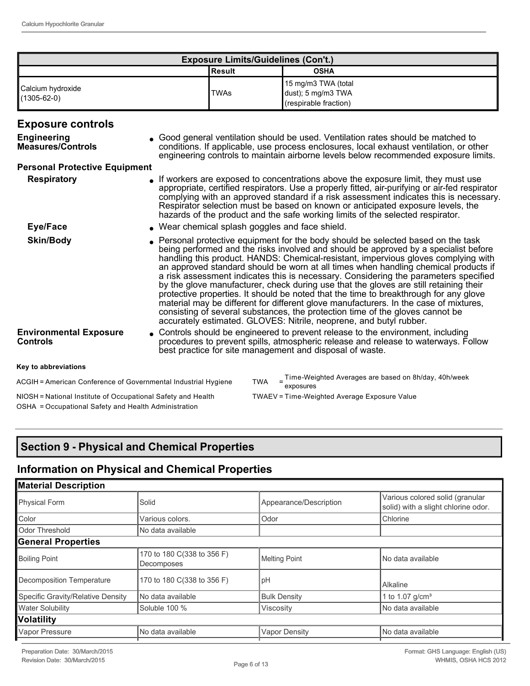| <b>Exposure Limits/Guidelines (Con't.)</b> |             |                                                                    |  |
|--------------------------------------------|-------------|--------------------------------------------------------------------|--|
|                                            | l Result    | <b>OSHA</b>                                                        |  |
| Calcium hydroxide<br>$(1305 - 62 - 0)$     | <b>TWAs</b> | 15 mg/m3 TWA (total<br>dust); 5 mg/m3 TWA<br>(respirable fraction) |  |

#### **Exposure controls**

| <b>Engineering</b><br><b>Measures/Controls</b>                 | • Good general ventilation should be used. Ventilation rates should be matched to<br>conditions. If applicable, use process enclosures, local exhaust ventilation, or other<br>engineering controls to maintain airborne levels below recommended exposure limits.                                                                                                                                                                                                                                                                                                                                                                                                                                                                                                                                                                                                              |
|----------------------------------------------------------------|---------------------------------------------------------------------------------------------------------------------------------------------------------------------------------------------------------------------------------------------------------------------------------------------------------------------------------------------------------------------------------------------------------------------------------------------------------------------------------------------------------------------------------------------------------------------------------------------------------------------------------------------------------------------------------------------------------------------------------------------------------------------------------------------------------------------------------------------------------------------------------|
| <b>Personal Protective Equipment</b>                           |                                                                                                                                                                                                                                                                                                                                                                                                                                                                                                                                                                                                                                                                                                                                                                                                                                                                                 |
| <b>Respiratory</b>                                             | • If workers are exposed to concentrations above the exposure limit, they must use<br>appropriate, certified respirators. Use a properly fitted, air-purifying or air-fed respirator<br>complying with an approved standard if a risk assessment indicates this is necessary.<br>Respirator selection must be based on known or anticipated exposure levels, the<br>hazards of the product and the safe working limits of the selected respirator.                                                                                                                                                                                                                                                                                                                                                                                                                              |
| Eye/Face                                                       | . Wear chemical splash goggles and face shield.                                                                                                                                                                                                                                                                                                                                                                                                                                                                                                                                                                                                                                                                                                                                                                                                                                 |
| <b>Skin/Body</b>                                               | • Personal protective equipment for the body should be selected based on the task<br>being performed and the risks involved and should be approved by a specialist before<br>handling this product. HANDS: Chemical-resistant, impervious gloves complying with<br>an approved standard should be worn at all times when handling chemical products if<br>a risk assessment indicates this is necessary. Considering the parameters specified<br>by the glove manufacturer, check during use that the gloves are still retaining their<br>protective properties. It should be noted that the time to breakthrough for any glove<br>material may be different for different glove manufacturers. In the case of mixtures,<br>consisting of several substances, the protection time of the gloves cannot be<br>accurately estimated. GLOVES: Nitrile, neoprene, and butyl rubber. |
| <b>Environmental Exposure</b><br>Controls                      | • Controls should be engineered to prevent release to the environment, including<br>procedures to prevent spills, atmospheric release and release to waterways. Follow<br>best practice for site management and disposal of waste.                                                                                                                                                                                                                                                                                                                                                                                                                                                                                                                                                                                                                                              |
| Key to abbreviations                                           |                                                                                                                                                                                                                                                                                                                                                                                                                                                                                                                                                                                                                                                                                                                                                                                                                                                                                 |
| ACGIH = American Conference of Governmental Industrial Hygiene | Time-Weighted Averages are based on 8h/day, 40h/week<br><b>TWA</b><br>exposures                                                                                                                                                                                                                                                                                                                                                                                                                                                                                                                                                                                                                                                                                                                                                                                                 |

NIOSH = National Institute of Occupational Safety and Health TWAEV = Time-Weighted Average Exposure Value OSHA = Occupational Safety and Health Administration

## **Section 9 Physical and Chemical Properties**

## **Information on Physical and Chemical Properties**

| <b>Material Description</b>       |                                          |                        |                                                                        |  |
|-----------------------------------|------------------------------------------|------------------------|------------------------------------------------------------------------|--|
| <b>Physical Form</b>              | Solid                                    | Appearance/Description | Various colored solid (granular<br>solid) with a slight chlorine odor. |  |
| Color                             | Various colors.                          | Odor                   | Chlorine                                                               |  |
| Odor Threshold                    | No data available                        |                        |                                                                        |  |
| <b>General Properties</b>         |                                          |                        |                                                                        |  |
| <b>Boiling Point</b>              | 170 to 180 C(338 to 356 F)<br>Decomposes | Melting Point          | No data available                                                      |  |
| Decomposition Temperature         | 170 to 180 C(338 to 356 F)               | pH                     | <b>Alkaline</b>                                                        |  |
| Specific Gravity/Relative Density | INo data available                       | <b>Bulk Density</b>    | 1 to 1.07 $q/cm3$                                                      |  |
| <b>Water Solubility</b>           | Soluble 100 %                            | Viscosity              | No data available                                                      |  |
| Volatility                        |                                          |                        |                                                                        |  |
| <b>Vapor Pressure</b>             | No data available                        | <b>Vapor Density</b>   | No data available                                                      |  |
|                                   |                                          |                        |                                                                        |  |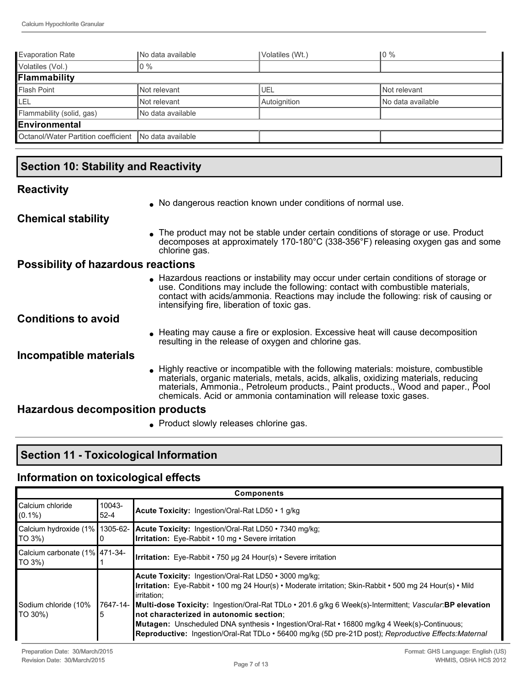| <b>Evaporation Rate</b>                               | No data available  | Volatiles (Wt.) | 10 %               |  |
|-------------------------------------------------------|--------------------|-----------------|--------------------|--|
| Volatiles (Vol.)                                      | l 0 %              |                 |                    |  |
| Flammability                                          |                    |                 |                    |  |
| <b>Flash Point</b>                                    | Not relevant       | <b>UEL</b>      | Not relevant       |  |
| LEL                                                   | Not relevant       | Autoignition    | INo data available |  |
| Flammability (solid, gas)                             | INo data available |                 |                    |  |
| Environmental                                         |                    |                 |                    |  |
| Octanol/Water Partition coefficient No data available |                    |                 |                    |  |

## **Section 10: Stability and Reactivity**

#### **Reactivity**

. No dangerous reaction known under conditions of normal use.

#### **Chemical stability**

• The product may not be stable under certain conditions of storage or use. Product decomposes at approximately 170-180°C (338-356°F) releasing oxygen gas and some chlorine gas.

#### **Possibility of hazardous reactions**

<sup>l</sup> Hazardous reactions or instability may occur under certain conditions of storage or use. Conditions may include the following: contact with combustible materials, contact with acids/ammonia. Reactions may include the following: risk of causing or intensifying fire, liberation of toxic gas.

#### **Conditions to avoid**

<sup>l</sup> Heating may cause a fire or explosion. Excessive heat will cause decomposition resulting in the release of oxygen and chlorine gas.

#### **Incompatible materials**

• Highly reactive or incompatible with the following materials: moisture, combustible materials, organic materials, metals, acids, alkalis, oxidizing materials, reducing materials, Ammonia., Petroleum products., Paint products., Wood and paper., Pool chemicals. Acid or ammonia contamination will release toxic gases.

#### **Hazardous decomposition products**

**Product slowly releases chlorine gas.** 

## **Section 11 Toxicological Information**

#### **Information on toxicological effects**

| <b>Components</b>                       |                       |                                                                                                                                                                                                                                                                                                                                                                                                                                                                                                                                                                 |
|-----------------------------------------|-----------------------|-----------------------------------------------------------------------------------------------------------------------------------------------------------------------------------------------------------------------------------------------------------------------------------------------------------------------------------------------------------------------------------------------------------------------------------------------------------------------------------------------------------------------------------------------------------------|
| Calcium chloride<br>$(0.1\%)$           | $10043 -$<br>$52 - 4$ | <b>Acute Toxicity:</b> Ingestion/Oral-Rat LD50 • 1 g/kg                                                                                                                                                                                                                                                                                                                                                                                                                                                                                                         |
| TO 3%)                                  |                       | Calcium hydroxide (1% 1305-62- Acute Toxicity: Ingestion/Oral-Rat LD50 • 7340 mg/kg;<br><b>Irritation:</b> Eye-Rabbit • 10 mg • Severe irritation                                                                                                                                                                                                                                                                                                                                                                                                               |
| Calcium carbonate (1% 471-34-<br>TO 3%) |                       | <b>Irritation:</b> Eye-Rabbit $\cdot$ 750 µg 24 Hour(s) $\cdot$ Severe irritation                                                                                                                                                                                                                                                                                                                                                                                                                                                                               |
| Sodium chloride (10%<br>TO 30%)         | 5                     | <b>Acute Toxicity:</b> Ingestion/Oral-Rat LD50 • 3000 mg/kg;<br>Irritation: Eye-Rabbit • 100 mg 24 Hour(s) • Moderate irritation; Skin-Rabbit • 500 mg 24 Hour(s) • Mild<br>lirritation:<br>7647-14- Multi-dose Toxicity: Ingestion/Oral-Rat TDLo · 201.6 g/kg 6 Week(s)-Intermittent; Vascular:BP elevation<br>Inot characterized in autonomic section:<br>Mutagen: Unscheduled DNA synthesis • Ingestion/Oral-Rat • 16800 mg/kg 4 Week(s)-Continuous;<br>Reproductive: Ingestion/Oral-Rat TDLo • 56400 mg/kg (5D pre-21D post); Reproductive Effects:Maternal |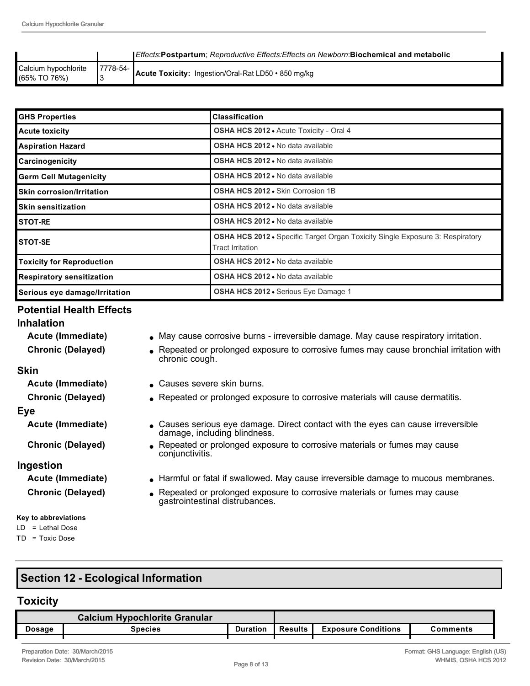|                                      |              | <b>IEffects:Postpartum: Reproductive Effects:Effects on Newborn:Biochemical and metabolic</b> |
|--------------------------------------|--------------|-----------------------------------------------------------------------------------------------|
| Calcium hypochlorite<br>(65% TO 76%) | l 7778-54- l | Acute Toxicity: Ingestion/Oral-Rat LD50 · 850 mg/kg                                           |

| <b>GHS Properties</b>            | <b>Classification</b>                                                                                           |
|----------------------------------|-----------------------------------------------------------------------------------------------------------------|
| <b>Acute toxicity</b>            | <b>OSHA HCS 2012 • Acute Toxicity - Oral 4</b>                                                                  |
| <b>Aspiration Hazard</b>         | <b>OSHA HCS 2012 • No data available</b>                                                                        |
| Carcinogenicity                  | <b>OSHA HCS 2012 .</b> No data available                                                                        |
| <b>Germ Cell Mutagenicity</b>    | OSHA HCS 2012 . No data available                                                                               |
| <b>Skin corrosion/Irritation</b> | OSHA HCS 2012 . Skin Corrosion 1B                                                                               |
| <b>Skin sensitization</b>        | OSHA HCS 2012 . No data available                                                                               |
| <b>STOT-RE</b>                   | OSHA HCS 2012 . No data available                                                                               |
| <b>STOT-SE</b>                   | <b>OSHA HCS 2012 •</b> Specific Target Organ Toxicity Single Exposure 3: Respiratory<br><b>Tract Irritation</b> |
| <b>Toxicity for Reproduction</b> | OSHA HCS 2012 . No data available                                                                               |
| <b>Respiratory sensitization</b> | OSHA HCS 2012 . No data available                                                                               |
| Serious eye damage/Irritation    | <b>OSHA HCS 2012 •</b> Serious Eye Damage 1                                                                     |

## **Potential Health Effects**

#### **Inhalation**

- 
- **Acute (Immediate) a** May cause corrosive burns irreversible damage. May cause respiratory irritation.
- **Chronic (Delayed)** expeated or prolonged exposure to corrosive fumes may cause bronchial irritation with chronic cough.

## **Skin**

**Acute (Immediate)** Causes severe skin burns.

**Chronic (Delayed) e** Repeated or prolonged exposure to corrosive materials will cause dermatitis.

#### **Eye**

**Acute (Immediate)** Causes serious eye damage. Direct contact with the eyes can cause irreversible

**Chronic (Delayed) .** Repeated or prolonged exposure to corrosive materials or fumes may cause

#### **Ingestion**

#### **Key to abbreviations**

LD = Lethal Dose

TD = Toxic Dose

- **Acute (Immediate) larmful or fatal if swallowed. May cause irreversible damage to mucous membranes.**
- **Chronic (Delayed) .** Repeated or prolonged exposure to corrosive materials or fumes may cause gastrointestinal distrubances.

## **Section 12 - Ecological Information**

#### **Toxicity**

| <b>Calcium Hypochlorite Granular</b> |                |                 |                |                            |                     |
|--------------------------------------|----------------|-----------------|----------------|----------------------------|---------------------|
| Dosage                               | <b>Species</b> | <b>Duration</b> | <b>Results</b> | <b>Exposure Conditions</b> | $\mathsf{comments}$ |
|                                      |                |                 |                |                            |                     |

damage, including blindness.

conjunctivitis.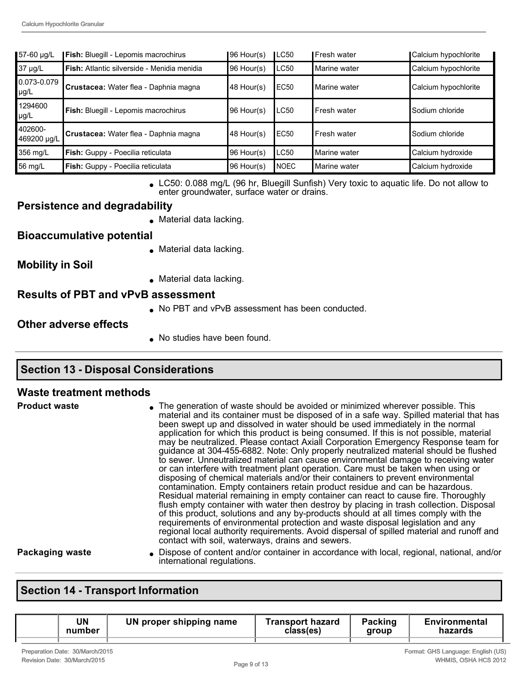| 57-60 µg/L               | Fish: Bluegill - Lepomis macrochirus               | 196 Hour(s) | LC50             | l Fresh water  | Calcium hypochlorite |
|--------------------------|----------------------------------------------------|-------------|------------------|----------------|----------------------|
| 37 µg/L                  | <b>Fish:</b> Atlantic silverside - Menidia menidia | 96 Hour(s)  | LC50             | Marine water   | Calcium hypochlorite |
| 0.073-0.079<br>$\mu$ g/L | Crustacea: Water flea - Daphnia magna              | 48 Hour(s)  | EC <sub>50</sub> | l Marine water | Calcium hypochlorite |
| 1294600<br>$\mu$ g/L     | Fish: Bluegill - Lepomis macrochirus               | 96 Hour(s)  | <b>LC50</b>      | l Fresh water  | Sodium chloride      |
| 402600-<br>469200 µg/L   | Crustacea: Water flea - Daphnia magna              | 148 Hour(s) | <b>EC50</b>      | Fresh water    | Sodium chloride      |
| 356 mg/L                 | Fish: Guppy - Poecilia reticulata                  | 96 Hour(s)  | <b>LC50</b>      | Marine water   | Calcium hydroxide    |
| 56 mg/L                  | Fish: Guppy - Poecilia reticulata                  | 96 Hour(s)  | <b>NOEC</b>      | Marine water   | Calcium hydroxide    |

LC50: 0.088 mg/L (96 hr, Bluegill Sunfish) Very toxic to aquatic life. Do not allow to enter groundwater, surface water or drains.

#### **Persistence and degradability**

 $\bullet$  Material data lacking.

### **Bioaccumulative potential**

 $\bullet$  Material data lacking.

**Mobility in Soil**

 $\bullet$  Material data lacking.

#### **Results of PBT and vPvB assessment**

• No PBT and vPvB assessment has been conducted.

#### **Other adverse effects**

. No studies have been found.

## **Section 13 - Disposal Considerations**

#### **Waste treatment methods**

| <b>Product waste</b> | • The generation of waste should be avoided or minimized wherever possible. This<br>material and its container must be disposed of in a safe way. Spilled material that has<br>been swept up and dissolved in water should be used immediately in the normal<br>application for which this product is being consumed. If this is not possible, material<br>may be neutralized. Please contact Axiall Corporation Emergency Response team for<br>guidance at 304-455-6882. Note: Only properly neutralized material should be flushed<br>to sewer. Unneutralized material can cause environmental damage to receiving water<br>or can interfere with treatment plant operation. Care must be taken when using or<br>disposing of chemical materials and/or their containers to prevent environmental<br>contamination. Empty containers retain product residue and can be hazardous.<br>Residual material remaining in empty container can react to cause fire. Thoroughly<br>flush empty container with water then destroy by placing in trash collection. Disposal<br>of this product, solutions and any by-products should at all times comply with the<br>requirements of environmental protection and waste disposal legislation and any<br>regional local authority requirements. Avoid dispersal of spilled material and runoff and<br>contact with soil, waterways, drains and sewers. |
|----------------------|-----------------------------------------------------------------------------------------------------------------------------------------------------------------------------------------------------------------------------------------------------------------------------------------------------------------------------------------------------------------------------------------------------------------------------------------------------------------------------------------------------------------------------------------------------------------------------------------------------------------------------------------------------------------------------------------------------------------------------------------------------------------------------------------------------------------------------------------------------------------------------------------------------------------------------------------------------------------------------------------------------------------------------------------------------------------------------------------------------------------------------------------------------------------------------------------------------------------------------------------------------------------------------------------------------------------------------------------------------------------------------------------------|
| Packaging waste      | . Dispose of content and/or container in accordance with local, regional, national, and/or<br>international regulations.                                                                                                                                                                                                                                                                                                                                                                                                                                                                                                                                                                                                                                                                                                                                                                                                                                                                                                                                                                                                                                                                                                                                                                                                                                                                      |

## **Section 14 - Transport Information**

| UN<br>number | UN proper shipping name | Transport hazard<br>class(es) | Packing<br>group | Environmental<br>hazards |
|--------------|-------------------------|-------------------------------|------------------|--------------------------|
|              |                         |                               |                  |                          |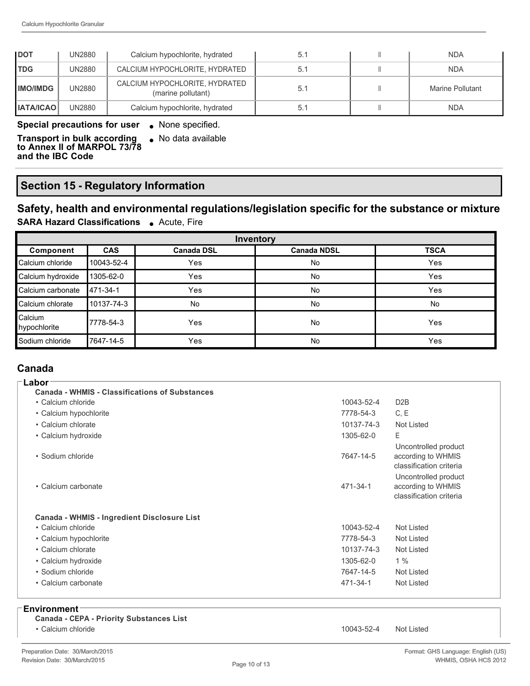| <b>IDOT</b>          | UN2880 | Calcium hypochlorite, hydrated                       | 5.1 | <b>NDA</b>       |
|----------------------|--------|------------------------------------------------------|-----|------------------|
| <b>TDG</b>           | UN2880 | CALCIUM HYPOCHLORITE, HYDRATED                       | 5.1 | NDA.             |
| <b>IMO/IMDG</b>      | UN2880 | CALCIUM HYPOCHLORITE, HYDRATED<br>(marine pollutant) | 5.1 | Marine Pollutant |
| <b>I IATA/ICAO I</b> | UN2880 | Calcium hypochlorite, hydrated                       | 5.1 | <b>NDA</b>       |

#### **Special precautions for user .** None specified.

**Transport in bulk according**   $\bullet$  No data available

**to Annex II of MARPOL 73/78 and the IBC Code**

## **Section 15 Regulatory Information**

## **Safety, health and environmental regulations/legislation specific for the substance or mixture**

**SARA Hazard Classifications** . Acute, Fire

| Inventory               |            |                   |                    |             |  |
|-------------------------|------------|-------------------|--------------------|-------------|--|
| Component               | <b>CAS</b> | <b>Canada DSL</b> | <b>Canada NDSL</b> | <b>TSCA</b> |  |
| Calcium chloride        | 10043-52-4 | Yes               | No                 | Yes         |  |
| Calcium hydroxide       | 1305-62-0  | Yes               | No                 | Yes         |  |
| Calcium carbonate       | 471-34-1   | Yes               | No                 | Yes         |  |
| Calcium chlorate        | 10137-74-3 | <b>No</b>         | No                 | <b>No</b>   |  |
| Calcium<br>hypochlorite | 7778-54-3  | Yes               | No                 | Yes         |  |
| Sodium chloride         | 17647-14-5 | Yes               | No                 | Yes         |  |

#### **Canada Labor**

| Labor                                                 |                       |                                                                                                                                                |
|-------------------------------------------------------|-----------------------|------------------------------------------------------------------------------------------------------------------------------------------------|
| <b>Canada - WHMIS - Classifications of Substances</b> |                       |                                                                                                                                                |
| • Calcium chloride                                    | 10043-52-4            | D <sub>2</sub> B                                                                                                                               |
| • Calcium hypochlorite                                | 7778-54-3             | C, E                                                                                                                                           |
| • Calcium chlorate                                    | 10137-74-3            | <b>Not Listed</b>                                                                                                                              |
| • Calcium hydroxide                                   | 1305-62-0             | E                                                                                                                                              |
| • Sodium chloride<br>• Calcium carbonate              | 7647-14-5<br>471-34-1 | Uncontrolled product<br>according to WHMIS<br>classification criteria<br>Uncontrolled product<br>according to WHMIS<br>classification criteria |
| <b>Canada - WHMIS - Ingredient Disclosure List</b>    |                       |                                                                                                                                                |
| • Calcium chloride                                    | 10043-52-4            | Not Listed                                                                                                                                     |
| • Calcium hypochlorite                                | 7778-54-3             | Not Listed                                                                                                                                     |
| • Calcium chlorate                                    | 10137-74-3            | Not Listed                                                                                                                                     |
| • Calcium hydroxide                                   | 1305-62-0             | 1%                                                                                                                                             |
| • Sodium chloride                                     | 7647-14-5             | Not Listed                                                                                                                                     |
| • Calcium carbonate                                   | 471-34-1              | Not Listed                                                                                                                                     |
|                                                       |                       |                                                                                                                                                |

#### **Environment**

| Canada - CEPA - Priority Substances List |  |
|------------------------------------------|--|
|------------------------------------------|--|

• Calcium chloride 10043-52-4 Not Listed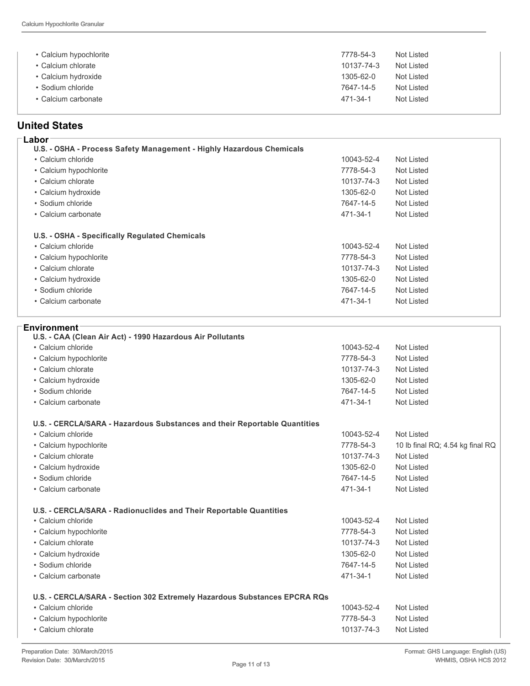| • Calcium hypochlorite | 7778-54-3  | Not Listed |
|------------------------|------------|------------|
| • Calcium chlorate     | 10137-74-3 | Not Listed |
| • Calcium hydroxide    | 1305-62-0  | Not Listed |
| • Sodium chloride      | 7647-14-5  | Not Listed |
| • Calcium carbonate    | 471-34-1   | Not Listed |

## **United States**

| Labor                                                                |            |                   |
|----------------------------------------------------------------------|------------|-------------------|
| U.S. - OSHA - Process Safety Management - Highly Hazardous Chemicals |            |                   |
| • Calcium chloride                                                   | 10043-52-4 | Not Listed        |
| • Calcium hypochlorite                                               | 7778-54-3  | Not Listed        |
| • Calcium chlorate                                                   | 10137-74-3 | Not Listed        |
| • Calcium hydroxide                                                  | 1305-62-0  | Not Listed        |
| • Sodium chloride                                                    | 7647-14-5  | Not Listed        |
| • Calcium carbonate                                                  | 471-34-1   | Not Listed        |
| U.S. - OSHA - Specifically Regulated Chemicals                       |            |                   |
| • Calcium chloride                                                   | 10043-52-4 | Not Listed        |
| • Calcium hypochlorite                                               | 7778-54-3  | Not Listed        |
| • Calcium chlorate                                                   | 10137-74-3 | Not Listed        |
| • Calcium hydroxide                                                  | 1305-62-0  | Not Listed        |
| • Sodium chloride                                                    | 7647-14-5  | Not Listed        |
| • Calcium carbonate                                                  | 471-34-1   | <b>Not Listed</b> |

| Environment                                                               |            |                                  |
|---------------------------------------------------------------------------|------------|----------------------------------|
| U.S. - CAA (Clean Air Act) - 1990 Hazardous Air Pollutants                |            |                                  |
| • Calcium chloride                                                        | 10043-52-4 | <b>Not Listed</b>                |
| • Calcium hypochlorite                                                    | 7778-54-3  | <b>Not Listed</b>                |
| • Calcium chlorate                                                        | 10137-74-3 | Not Listed                       |
| • Calcium hydroxide                                                       | 1305-62-0  | <b>Not Listed</b>                |
| · Sodium chloride                                                         | 7647-14-5  | <b>Not Listed</b>                |
| • Calcium carbonate                                                       | 471-34-1   | <b>Not Listed</b>                |
| U.S. - CERCLA/SARA - Hazardous Substances and their Reportable Quantities |            |                                  |
| • Calcium chloride                                                        | 10043-52-4 | Not Listed                       |
| • Calcium hypochlorite                                                    | 7778-54-3  | 10 lb final RQ; 4.54 kg final RQ |
| • Calcium chlorate                                                        | 10137-74-3 | <b>Not Listed</b>                |
| · Calcium hydroxide                                                       | 1305-62-0  | <b>Not Listed</b>                |
| · Sodium chloride                                                         | 7647-14-5  | <b>Not Listed</b>                |
| • Calcium carbonate                                                       | 471-34-1   | <b>Not Listed</b>                |
| U.S. - CERCLA/SARA - Radionuclides and Their Reportable Quantities        |            |                                  |
| • Calcium chloride                                                        | 10043-52-4 | <b>Not Listed</b>                |
| • Calcium hypochlorite                                                    | 7778-54-3  | <b>Not Listed</b>                |
| • Calcium chlorate                                                        | 10137-74-3 | Not Listed                       |
| · Calcium hydroxide                                                       | 1305-62-0  | <b>Not Listed</b>                |
| • Sodium chloride                                                         | 7647-14-5  | <b>Not Listed</b>                |
| • Calcium carbonate                                                       | 471-34-1   | <b>Not Listed</b>                |
| U.S. - CERCLA/SARA - Section 302 Extremely Hazardous Substances EPCRA RQs |            |                                  |
| • Calcium chloride                                                        | 10043-52-4 | <b>Not Listed</b>                |
| • Calcium hypochlorite                                                    | 7778-54-3  | <b>Not Listed</b>                |
| • Calcium chlorate                                                        | 10137-74-3 | <b>Not Listed</b>                |
|                                                                           |            |                                  |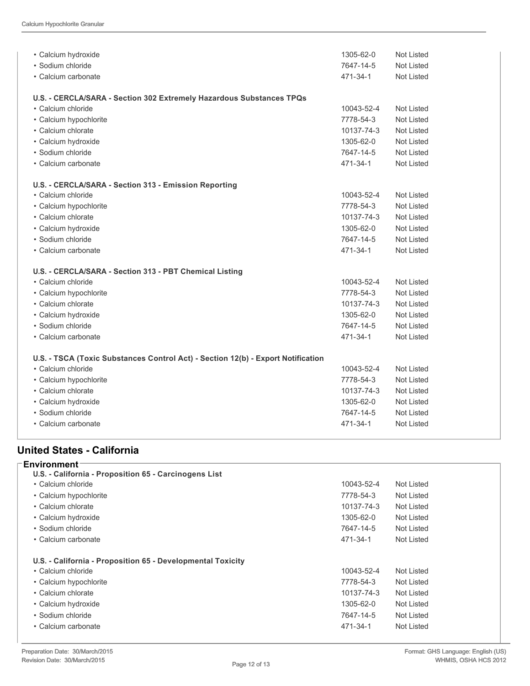| • Calcium hydroxide                                                              | 1305-62-0  | Not Listed        |
|----------------------------------------------------------------------------------|------------|-------------------|
| • Sodium chloride                                                                | 7647-14-5  | Not Listed        |
| • Calcium carbonate                                                              | 471-34-1   | Not Listed        |
|                                                                                  |            |                   |
| U.S. - CERCLA/SARA - Section 302 Extremely Hazardous Substances TPQs             |            |                   |
| • Calcium chloride                                                               | 10043-52-4 | <b>Not Listed</b> |
| • Calcium hypochlorite                                                           | 7778-54-3  | Not Listed        |
| • Calcium chlorate                                                               | 10137-74-3 | <b>Not Listed</b> |
| • Calcium hydroxide                                                              | 1305-62-0  | <b>Not Listed</b> |
| • Sodium chloride                                                                | 7647-14-5  | <b>Not Listed</b> |
| • Calcium carbonate                                                              | 471-34-1   | <b>Not Listed</b> |
|                                                                                  |            |                   |
| U.S. - CERCLA/SARA - Section 313 - Emission Reporting                            |            |                   |
| • Calcium chloride                                                               | 10043-52-4 | Not Listed        |
| · Calcium hypochlorite                                                           | 7778-54-3  | <b>Not Listed</b> |
| • Calcium chlorate                                                               | 10137-74-3 | Not Listed        |
| · Calcium hydroxide                                                              | 1305-62-0  | <b>Not Listed</b> |
| • Sodium chloride                                                                | 7647-14-5  | <b>Not Listed</b> |
| • Calcium carbonate                                                              | 471-34-1   | Not Listed        |
|                                                                                  |            |                   |
| U.S. - CERCLA/SARA - Section 313 - PBT Chemical Listing                          |            |                   |
| • Calcium chloride                                                               | 10043-52-4 | Not Listed        |
| • Calcium hypochlorite                                                           | 7778-54-3  | <b>Not Listed</b> |
| • Calcium chlorate                                                               | 10137-74-3 | Not Listed        |
| • Calcium hydroxide                                                              | 1305-62-0  | Not Listed        |
| • Sodium chloride                                                                | 7647-14-5  | <b>Not Listed</b> |
| · Calcium carbonate                                                              | 471-34-1   | <b>Not Listed</b> |
|                                                                                  |            |                   |
| U.S. - TSCA (Toxic Substances Control Act) - Section 12(b) - Export Notification |            |                   |
| • Calcium chloride                                                               | 10043-52-4 | Not Listed        |
| • Calcium hypochlorite                                                           | 7778-54-3  | Not Listed        |
| • Calcium chlorate                                                               | 10137-74-3 | Not Listed        |
| • Calcium hydroxide                                                              | 1305-62-0  | <b>Not Listed</b> |
| • Sodium chloride                                                                | 7647-14-5  | Not Listed        |
| • Calcium carbonate                                                              | 471-34-1   | <b>Not Listed</b> |
|                                                                                  |            |                   |

## **United States California**

| <b>Environment</b>                                          |                          |
|-------------------------------------------------------------|--------------------------|
| U.S. - California - Proposition 65 - Carcinogens List       |                          |
| • Calcium chloride                                          | 10043-52-4<br>Not Listed |
| • Calcium hypochlorite                                      | 7778-54-3<br>Not Listed  |
| • Calcium chlorate                                          | 10137-74-3<br>Not Listed |
| • Calcium hydroxide                                         | 1305-62-0<br>Not Listed  |
| • Sodium chloride                                           | 7647-14-5<br>Not Listed  |
| • Calcium carbonate                                         | 471-34-1<br>Not Listed   |
| U.S. - California - Proposition 65 - Developmental Toxicity |                          |
| • Calcium chloride                                          | 10043-52-4<br>Not Listed |
| • Calcium hypochlorite                                      | 7778-54-3<br>Not Listed  |
| • Calcium chlorate                                          | 10137-74-3<br>Not Listed |
| • Calcium hydroxide                                         | 1305-62-0<br>Not Listed  |
| • Sodium chloride                                           | 7647-14-5<br>Not Listed  |
|                                                             |                          |